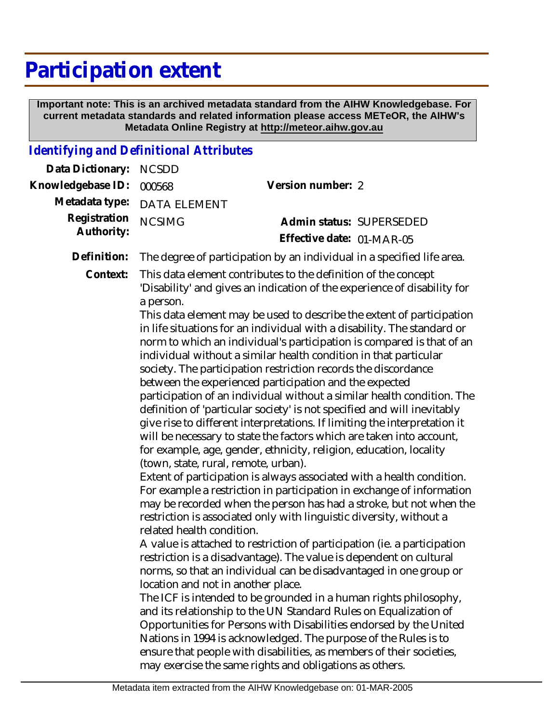## **Participation extent**

 **Important note: This is an archived metadata standard from the AIHW Knowledgebase. For current metadata standards and related information please access METeOR, the AIHW's Metadata Online Registry at http://meteor.aihw.gov.au**

## *Identifying and Definitional Attributes*

| Data Dictionary:           | <b>NCSDD</b>                                                                                                                                                                                                                                                                                                                                                                                                                                                                                                                                                                                                                                                                                                                                                                                                                                                                                                                                                                                                                                                                                                                                                                                                                                                                                                                                                                                                                                                                                                                                                                                                                                                                                                                                                                                                                                                                                                                                                                                                              |                                                       |
|----------------------------|---------------------------------------------------------------------------------------------------------------------------------------------------------------------------------------------------------------------------------------------------------------------------------------------------------------------------------------------------------------------------------------------------------------------------------------------------------------------------------------------------------------------------------------------------------------------------------------------------------------------------------------------------------------------------------------------------------------------------------------------------------------------------------------------------------------------------------------------------------------------------------------------------------------------------------------------------------------------------------------------------------------------------------------------------------------------------------------------------------------------------------------------------------------------------------------------------------------------------------------------------------------------------------------------------------------------------------------------------------------------------------------------------------------------------------------------------------------------------------------------------------------------------------------------------------------------------------------------------------------------------------------------------------------------------------------------------------------------------------------------------------------------------------------------------------------------------------------------------------------------------------------------------------------------------------------------------------------------------------------------------------------------------|-------------------------------------------------------|
| Knowledgebase ID:          | 000568                                                                                                                                                                                                                                                                                                                                                                                                                                                                                                                                                                                                                                                                                                                                                                                                                                                                                                                                                                                                                                                                                                                                                                                                                                                                                                                                                                                                                                                                                                                                                                                                                                                                                                                                                                                                                                                                                                                                                                                                                    | Version number: 2                                     |
| Metadata type:             | <b>DATA ELEMENT</b>                                                                                                                                                                                                                                                                                                                                                                                                                                                                                                                                                                                                                                                                                                                                                                                                                                                                                                                                                                                                                                                                                                                                                                                                                                                                                                                                                                                                                                                                                                                                                                                                                                                                                                                                                                                                                                                                                                                                                                                                       |                                                       |
| Registration<br>Authority: | <b>NCSIMG</b>                                                                                                                                                                                                                                                                                                                                                                                                                                                                                                                                                                                                                                                                                                                                                                                                                                                                                                                                                                                                                                                                                                                                                                                                                                                                                                                                                                                                                                                                                                                                                                                                                                                                                                                                                                                                                                                                                                                                                                                                             | Admin status: SUPERSEDED<br>Effective date: 01-MAR-05 |
| Definition:                | The degree of participation by an individual in a specified life area.                                                                                                                                                                                                                                                                                                                                                                                                                                                                                                                                                                                                                                                                                                                                                                                                                                                                                                                                                                                                                                                                                                                                                                                                                                                                                                                                                                                                                                                                                                                                                                                                                                                                                                                                                                                                                                                                                                                                                    |                                                       |
| Context:                   | This data element contributes to the definition of the concept<br>'Disability' and gives an indication of the experience of disability for<br>a person.<br>This data element may be used to describe the extent of participation<br>in life situations for an individual with a disability. The standard or<br>norm to which an individual's participation is compared is that of an<br>individual without a similar health condition in that particular<br>society. The participation restriction records the discordance<br>between the experienced participation and the expected<br>participation of an individual without a similar health condition. The<br>definition of 'particular society' is not specified and will inevitably<br>give rise to different interpretations. If limiting the interpretation it<br>will be necessary to state the factors which are taken into account,<br>for example, age, gender, ethnicity, religion, education, locality<br>(town, state, rural, remote, urban).<br>Extent of participation is always associated with a health condition.<br>For example a restriction in participation in exchange of information<br>may be recorded when the person has had a stroke, but not when the<br>restriction is associated only with linguistic diversity, without a<br>related health condition.<br>A value is attached to restriction of participation (ie. a participation<br>restriction is a disadvantage). The value is dependent on cultural<br>norms, so that an individual can be disadvantaged in one group or<br>location and not in another place.<br>The ICF is intended to be grounded in a human rights philosophy,<br>and its relationship to the UN Standard Rules on Equalization of<br>Opportunities for Persons with Disabilities endorsed by the United<br>Nations in 1994 is acknowledged. The purpose of the Rules is to<br>ensure that people with disabilities, as members of their societies,<br>may exercise the same rights and obligations as others. |                                                       |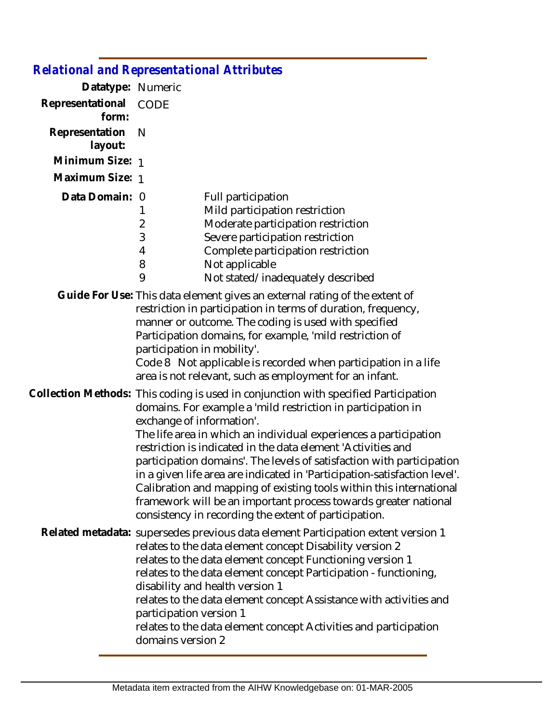|                           | <b>Relational and Representational Attributes</b>                                                                                                                                                                                                                                                                                                                                                                                                                                                                                                                                                                                                                             |  |
|---------------------------|-------------------------------------------------------------------------------------------------------------------------------------------------------------------------------------------------------------------------------------------------------------------------------------------------------------------------------------------------------------------------------------------------------------------------------------------------------------------------------------------------------------------------------------------------------------------------------------------------------------------------------------------------------------------------------|--|
| Datatype: Numeric         |                                                                                                                                                                                                                                                                                                                                                                                                                                                                                                                                                                                                                                                                               |  |
| Representational<br>form: | <b>CODE</b>                                                                                                                                                                                                                                                                                                                                                                                                                                                                                                                                                                                                                                                                   |  |
| Representation<br>layout: | N                                                                                                                                                                                                                                                                                                                                                                                                                                                                                                                                                                                                                                                                             |  |
| Minimum Size: 1           |                                                                                                                                                                                                                                                                                                                                                                                                                                                                                                                                                                                                                                                                               |  |
| Maximum Size: 1           |                                                                                                                                                                                                                                                                                                                                                                                                                                                                                                                                                                                                                                                                               |  |
| Data Domain: 0            | Full participation<br>Mild participation restriction<br>1<br>Moderate participation restriction<br>$\overline{2}$<br>3<br>Severe participation restriction<br>Complete participation restriction<br>4<br>8<br>Not applicable<br>9<br>Not stated/inadequately described                                                                                                                                                                                                                                                                                                                                                                                                        |  |
|                           | Guide For Use: This data element gives an external rating of the extent of<br>restriction in participation in terms of duration, frequency,<br>manner or outcome. The coding is used with specified<br>Participation domains, for example, 'mild restriction of<br>participation in mobility'.<br>Code 8 Not applicable is recorded when participation in a life<br>area is not relevant, such as employment for an infant.                                                                                                                                                                                                                                                   |  |
|                           | Collection Methods: This coding is used in conjunction with specified Participation<br>domains. For example a 'mild restriction in participation in<br>exchange of information'.<br>The life area in which an individual experiences a participation<br>restriction is indicated in the data element 'Activities and<br>participation domains'. The levels of satisfaction with participation<br>in a given life area are indicated in 'Participation-satisfaction level'.<br>Calibration and mapping of existing tools within this international<br>framework will be an important process towards greater national<br>consistency in recording the extent of participation. |  |
|                           | Related metadata: supersedes previous data element Participation extent version 1<br>relates to the data element concept Disability version 2<br>relates to the data element concept Functioning version 1<br>relates to the data element concept Participation - functioning,<br>disability and health version 1<br>relates to the data element concept Assistance with activities and<br>participation version 1<br>relates to the data element concept Activities and participation<br>domains version 2                                                                                                                                                                   |  |